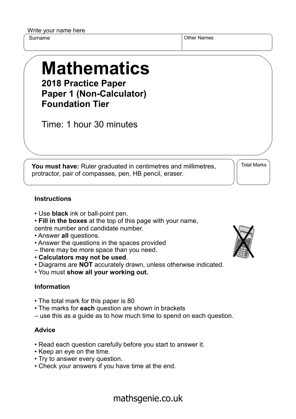Write your name here

Surname **Other Names** Other Names

## **Mathematics 2018 Practice Paper**

**Paper 1 (Non-Calculator) Foundation Tier**

Time: 1 hour 30 minutes

**You must have:** Ruler graduated in centimetres and millimetres, protractor, pair of compasses, pen, HB pencil, eraser.

Total Marks

## **Instructions**

- Use **black** ink or ball-point pen.
- **Fill in the boxes** at the top of this page with your name, centre number and candidate number.
- Answer **all** questions.
- Answer the questions in the spaces provided
- there may be more space than you need.
- **Calculators may not be used**.
- Diagrams are **NOT** accurately drawn, unless otherwise indicated.
- You must **show all your working out.**

## **Information**

- The total mark for this paper is 80
- The marks for **each** question are shown in brackets
- use this as a guide as to how much time to spend on each question.

## **Advice**

- Read each question carefully before you start to answer it.
- Keep an eye on the time.
- Try to answer every question.
- Check your answers if you have time at the end.



mathsgenie.co.uk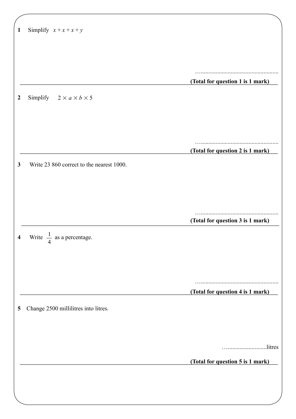| $\mathbf{1}$ | Simplify $x + x + x + y$                  |                                  |
|--------------|-------------------------------------------|----------------------------------|
|              |                                           |                                  |
|              |                                           |                                  |
|              |                                           |                                  |
|              |                                           | (Total for question 1 is 1 mark) |
|              |                                           |                                  |
| 2            | Simplify $2 \times a \times b \times 5$   |                                  |
|              |                                           |                                  |
|              |                                           |                                  |
|              |                                           |                                  |
|              |                                           |                                  |
|              |                                           | (Total for question 2 is 1 mark) |
| 3            | Write 23 860 correct to the nearest 1000. |                                  |
|              |                                           |                                  |
|              |                                           |                                  |
|              |                                           |                                  |
|              |                                           |                                  |
|              |                                           | (Total for question 3 is 1 mark) |
| 4            | Write $\frac{1}{4}$ as a percentage.      |                                  |
|              |                                           |                                  |
|              |                                           |                                  |
|              |                                           |                                  |
|              |                                           |                                  |
|              |                                           | (Total for question 4 is 1 mark) |
|              |                                           |                                  |
| 5            | Change 2500 millilitres into litres.      |                                  |
|              |                                           |                                  |
|              |                                           |                                  |
|              |                                           | litres                           |
|              |                                           |                                  |
|              |                                           | (Total for question 5 is 1 mark) |
|              |                                           |                                  |
|              |                                           |                                  |
|              |                                           |                                  |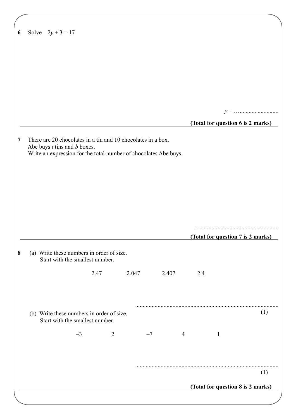| Solve $2y + 3 = 17$ |                                                                              |      |      |                |                                                              |      |                                                                  |                |     |                                   |     |
|---------------------|------------------------------------------------------------------------------|------|------|----------------|--------------------------------------------------------------|------|------------------------------------------------------------------|----------------|-----|-----------------------------------|-----|
|                     |                                                                              |      |      |                |                                                              |      |                                                                  |                |     |                                   |     |
|                     |                                                                              |      |      |                |                                                              |      |                                                                  |                |     |                                   |     |
|                     |                                                                              |      |      |                |                                                              |      |                                                                  |                |     |                                   |     |
|                     |                                                                              |      |      |                |                                                              |      |                                                                  |                |     |                                   |     |
|                     |                                                                              |      |      |                |                                                              |      |                                                                  |                |     |                                   |     |
|                     |                                                                              |      |      |                |                                                              |      |                                                                  |                |     |                                   |     |
|                     |                                                                              |      |      |                |                                                              |      |                                                                  |                |     | (Total for question 6 is 2 marks) |     |
|                     | Abe buys $t$ tins and $b$ boxes.                                             |      |      |                | There are 20 chocolates in a tin and 10 chocolates in a box. |      | Write an expression for the total number of chocolates Abe buys. |                |     |                                   |     |
|                     | (a) Write these numbers in order of size.                                    |      |      |                |                                                              |      |                                                                  |                |     | (Total for question 7 is 2 marks) |     |
|                     | Start with the smallest number.                                              |      | 2.47 |                | 2.047                                                        |      | 2.407                                                            |                | 2.4 |                                   |     |
|                     | (b) Write these numbers in order of size.<br>Start with the smallest number. |      |      |                |                                                              |      |                                                                  |                |     |                                   | (1) |
|                     |                                                                              | $-3$ |      | $\overline{2}$ |                                                              | $-7$ |                                                                  | $\overline{4}$ |     | $\mathbf{1}$                      |     |
|                     |                                                                              |      |      |                |                                                              |      |                                                                  |                |     |                                   |     |
|                     |                                                                              |      |      |                |                                                              |      |                                                                  |                |     |                                   |     |
|                     |                                                                              |      |      |                |                                                              |      |                                                                  |                |     |                                   | (1) |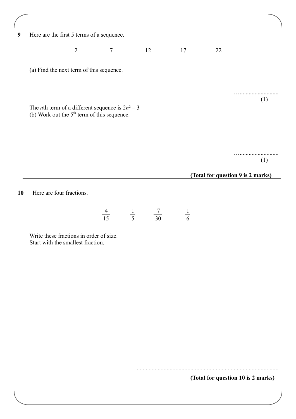| $\boldsymbol{9}$ | Here are the first 5 terms of a sequence.                                                                   |                |                |                                             |               |    |                                    |
|------------------|-------------------------------------------------------------------------------------------------------------|----------------|----------------|---------------------------------------------|---------------|----|------------------------------------|
|                  |                                                                                                             | $\overline{2}$ | $\overline{7}$ | 12                                          | 17            | 22 |                                    |
|                  |                                                                                                             |                |                |                                             |               |    |                                    |
|                  | (a) Find the next term of this sequence.                                                                    |                |                |                                             |               |    |                                    |
|                  |                                                                                                             |                |                |                                             |               |    |                                    |
|                  | The <i>n</i> th term of a different sequence is $2n^2 - 3$<br>(b) Work out the $5th$ term of this sequence. |                |                |                                             |               |    | (1)                                |
|                  |                                                                                                             |                |                |                                             |               |    |                                    |
|                  |                                                                                                             |                |                |                                             |               |    | (1)                                |
|                  |                                                                                                             |                |                |                                             |               |    | (Total for question 9 is 2 marks)  |
|                  |                                                                                                             |                |                |                                             |               |    |                                    |
| 10               | Here are four fractions.                                                                                    |                |                |                                             |               |    |                                    |
|                  |                                                                                                             |                |                | $\frac{4}{15}$ $\frac{1}{5}$ $\frac{7}{30}$ | $\frac{1}{6}$ |    |                                    |
|                  | Write these fractions in order of size.<br>Start with the smallest fraction.                                |                |                |                                             |               |    |                                    |
|                  |                                                                                                             |                |                |                                             |               |    |                                    |
|                  |                                                                                                             |                |                |                                             |               |    |                                    |
|                  |                                                                                                             |                |                |                                             |               |    |                                    |
|                  |                                                                                                             |                |                |                                             |               |    |                                    |
|                  |                                                                                                             |                |                |                                             |               |    |                                    |
|                  |                                                                                                             |                |                |                                             |               |    |                                    |
|                  |                                                                                                             |                |                |                                             |               |    |                                    |
|                  |                                                                                                             |                |                |                                             |               |    |                                    |
|                  |                                                                                                             |                |                |                                             |               |    | (Total for question 10 is 2 marks) |
|                  |                                                                                                             |                |                |                                             |               |    |                                    |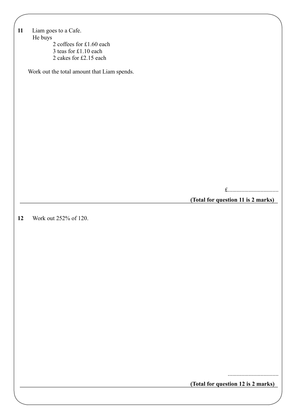| 11 | Liam goes to a Cafe.                        |
|----|---------------------------------------------|
|    | He buys<br>2 coffees for £1.60 each         |
|    | 3 teas for £1.10 each                       |
|    | 2 cakes for £2.15 each                      |
|    | Work out the total amount that Liam spends. |
|    |                                             |
|    |                                             |
|    |                                             |
|    |                                             |
|    |                                             |
|    |                                             |
|    |                                             |
|    |                                             |
|    |                                             |
|    |                                             |
|    |                                             |
|    |                                             |
|    | (Total for question 11 is 2 marks)          |
|    |                                             |
| 12 | Work out 252% of 120.                       |
|    |                                             |
|    |                                             |
|    |                                             |
|    |                                             |
|    |                                             |
|    |                                             |
|    |                                             |
|    |                                             |
|    |                                             |
|    |                                             |
|    |                                             |
|    |                                             |
|    |                                             |
|    |                                             |
|    |                                             |
|    |                                             |
|    | (Total for question 12 is 2 marks)          |

 $\overline{\phantom{a}}$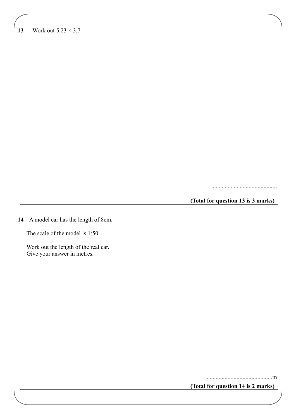| Work out $5.23 \times 3.7$ |
|----------------------------|

............................................

**(Total for question 13 is 3 marks)**

**14** A model car has the length of 8cm.

The scale of the model is 1:50

 Work out the length of the real car. Give your answer in metres.

**(Total for question 14 is 2 marks)**

............................................m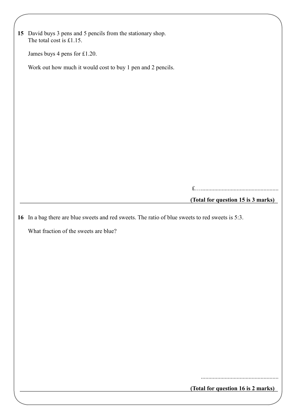| 15 David buys 3 pens and 5 pencils from the stationary shop.                                     |                                    |
|--------------------------------------------------------------------------------------------------|------------------------------------|
| The total cost is $£1.15$ .                                                                      |                                    |
| James buys 4 pens for £1.20.                                                                     |                                    |
| Work out how much it would cost to buy 1 pen and 2 pencils.                                      |                                    |
|                                                                                                  |                                    |
|                                                                                                  |                                    |
|                                                                                                  |                                    |
|                                                                                                  |                                    |
|                                                                                                  |                                    |
|                                                                                                  |                                    |
|                                                                                                  |                                    |
|                                                                                                  |                                    |
|                                                                                                  |                                    |
|                                                                                                  | (Total for question 15 is 3 marks) |
|                                                                                                  |                                    |
|                                                                                                  |                                    |
| 16 In a bag there are blue sweets and red sweets. The ratio of blue sweets to red sweets is 5:3. |                                    |
| What fraction of the sweets are blue?                                                            |                                    |
|                                                                                                  |                                    |
|                                                                                                  |                                    |
|                                                                                                  |                                    |
|                                                                                                  |                                    |
|                                                                                                  |                                    |
|                                                                                                  |                                    |
|                                                                                                  |                                    |
|                                                                                                  |                                    |
|                                                                                                  |                                    |
|                                                                                                  |                                    |
|                                                                                                  |                                    |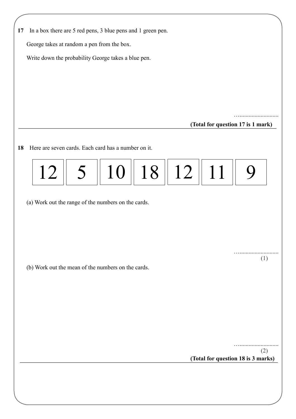| 17 | In a box there are 5 red pens, 3 blue pens and 1 green pen. |    |    |    |                                    |     |
|----|-------------------------------------------------------------|----|----|----|------------------------------------|-----|
|    | George takes at random a pen from the box.                  |    |    |    |                                    |     |
|    | Write down the probability George takes a blue pen.         |    |    |    |                                    |     |
|    |                                                             |    |    |    |                                    |     |
|    |                                                             |    |    |    |                                    |     |
|    |                                                             |    |    |    |                                    |     |
|    |                                                             |    |    |    |                                    |     |
|    |                                                             |    |    |    | (Total for question 17 is 1 mark)  |     |
|    |                                                             |    |    |    |                                    |     |
|    | Here are seven cards. Each card has a number on it.         |    |    |    |                                    |     |
|    |                                                             |    |    |    |                                    |     |
| 12 |                                                             | 10 | 18 | 12 | 11                                 |     |
|    |                                                             |    |    |    |                                    |     |
|    | (a) Work out the range of the numbers on the cards.         |    |    |    |                                    |     |
|    |                                                             |    |    |    |                                    |     |
|    |                                                             |    |    |    |                                    |     |
|    |                                                             |    |    |    |                                    |     |
|    |                                                             |    |    |    |                                    | (1) |
|    | (b) Work out the mean of the numbers on the cards.          |    |    |    |                                    |     |
|    |                                                             |    |    |    |                                    |     |
|    |                                                             |    |    |    |                                    |     |
|    |                                                             |    |    |    |                                    |     |
|    |                                                             |    |    |    |                                    |     |
|    |                                                             |    |    |    |                                    |     |
|    |                                                             |    |    |    |                                    |     |
|    |                                                             |    |    |    |                                    | (2) |
|    |                                                             |    |    |    | (Total for question 18 is 3 marks) |     |
|    |                                                             |    |    |    |                                    |     |
|    |                                                             |    |    |    |                                    |     |
|    |                                                             |    |    |    |                                    |     |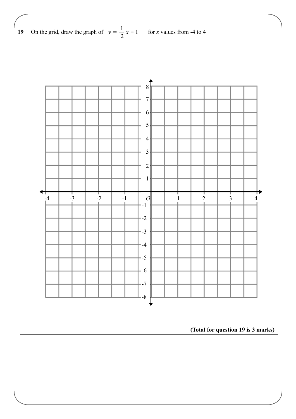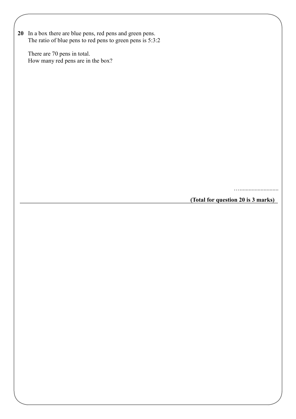**20** In a box there are blue pens, red pens and green pens. The ratio of blue pens to red pens to green pens is  $5:3:2$ 

 There are 70 pens in total. How many red pens are in the box?

…..........................

**(Total for question 20 is 3 marks)**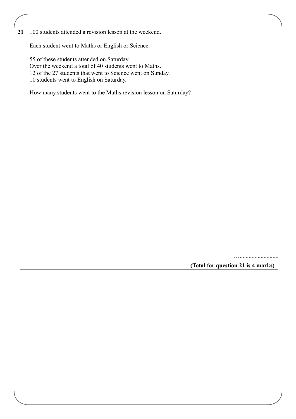**21** 100 students attended a revision lesson at the weekend.

Each student went to Maths or English or Science.

 55 of these students attended on Saturday. Over the weekend a total of 40 students went to Maths. 12 of the 27 students that went to Science went on Sunday. 10 students went to English on Saturday.

How many students went to the Maths revision lesson on Saturday?

…..........................

**(Total for question 21 is 4 marks)**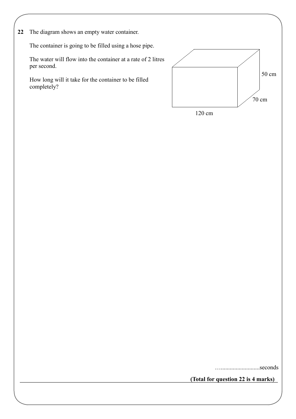**22** The diagram shows an empty water container.

The container is going to be filled using a hose pipe.

 The water will flow into the container at a rate of 2 litres per second.

 How long will it take for the container to be filled completely?



…..........................seconds

**(Total for question 22 is 4 marks)**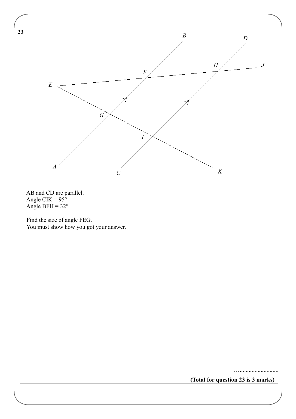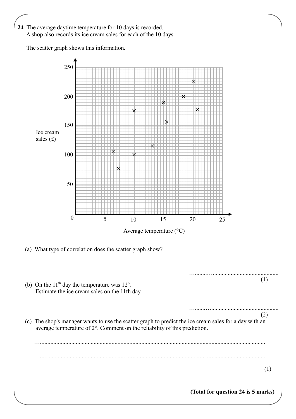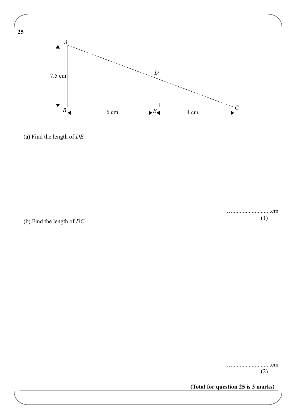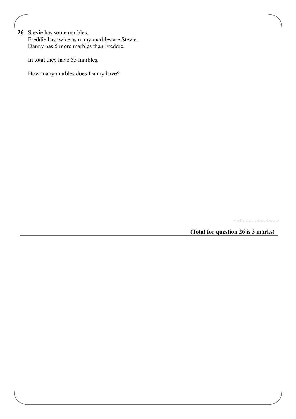**26** Stevie has some marbles. Freddie has twice as many marbles are Stevie. Danny has 5 more marbles than Freddie.

In total they have 55 marbles.

How many marbles does Danny have?

…..........................

**(Total for question 26 is 3 marks)**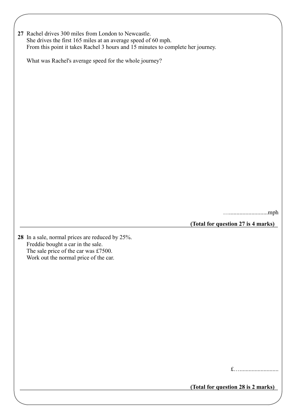| 27 Rachel drives 300 miles from London to Newcastle.                            |
|---------------------------------------------------------------------------------|
| She drives the first 165 miles at an average speed of 60 mph.                   |
| From this point it takes Rachel 3 hours and 15 minutes to complete her journey. |

What was Rachel's average speed for the whole journey?

…..........................mph

**(Total for question 27 is 4 marks)**

**28** In a sale, normal prices are reduced by 25%. Freddie bought a car in the sale. The sale price of the car was £7500. Work out the normal price of the car.

£…..........................

**(Total for question 28 is 2 marks)**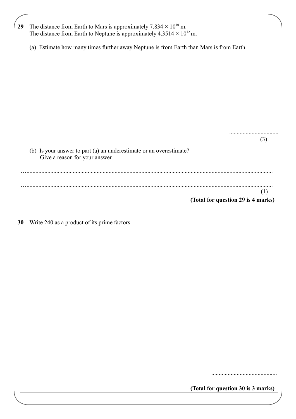| 29 | The distance from Earth to Mars is approximately 7.834 $\times$ 10 <sup>10</sup> m.<br>The distance from Earth to Neptune is approximately $4.3514 \times 10^{12}$ m. |
|----|-----------------------------------------------------------------------------------------------------------------------------------------------------------------------|
|    | (a) Estimate how many times further away Neptune is from Earth than Mars is from Earth.                                                                               |
|    |                                                                                                                                                                       |
|    |                                                                                                                                                                       |
|    | . <b>.</b> .<br>(3)<br>(b) Is your answer to part (a) an underestimate or an overestimate?<br>Give a reason for your answer.                                          |
|    |                                                                                                                                                                       |
|    | (1)<br>(Total for question 29 is 4 marks)                                                                                                                             |
| 30 | Write 240 as a product of its prime factors.                                                                                                                          |
|    |                                                                                                                                                                       |
|    |                                                                                                                                                                       |
|    |                                                                                                                                                                       |
|    |                                                                                                                                                                       |
|    |                                                                                                                                                                       |
|    |                                                                                                                                                                       |
|    |                                                                                                                                                                       |
|    |                                                                                                                                                                       |